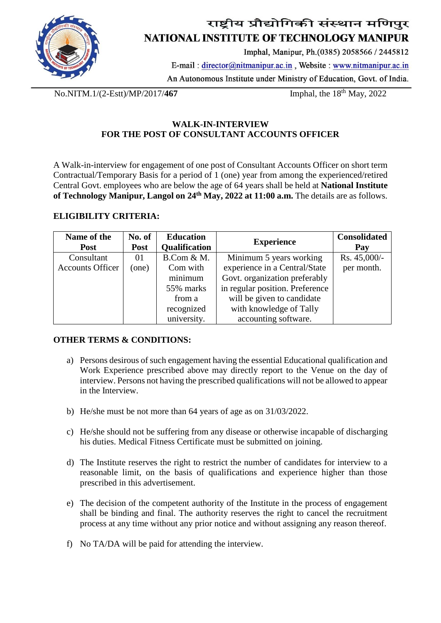

## राष्ट्रीय प्रौद्योगिकी संस्थान मणिपुर NATIONAL INSTITUTE OF TECHNOLOGY MANIPUR

Imphal, Manipur, Ph.(0385) 2058566 / 2445812

E-mail:  $\text{direction}(\hat{\omega})$ nitmanipur.ac.in, Website: www.nitmanipur.ac.in An Autonomous Institute under Ministry of Education, Govt. of India.

No.NITM.1/(2-Estt)/MP/2017/**467** Imphal, the 18<sup>th</sup> May, 2022

### **WALK-IN-INTERVIEW FOR THE POST OF CONSULTANT ACCOUNTS OFFICER**

A Walk-in-interview for engagement of one post of Consultant Accounts Officer on short term Contractual/Temporary Basis for a period of 1 (one) year from among the experienced/retired Central Govt. employees who are below the age of 64 years shall be held at **National Institute of Technology Manipur, Langol on 24th May, 2022 at 11:00 a.m.** The details are as follows.

### **ELIGIBILITY CRITERIA:**

| Name of the             | No. of      | <b>Education</b>     | <b>Experience</b>               | <b>Consolidated</b> |
|-------------------------|-------------|----------------------|---------------------------------|---------------------|
| <b>Post</b>             | <b>Post</b> | <b>Qualification</b> |                                 | Pay                 |
| Consultant              | 01          | B.Com & M.           | Minimum 5 years working         | Rs. 45,000/-        |
| <b>Accounts Officer</b> | (one)       | Com with             | experience in a Central/State   | per month.          |
|                         |             | minimum              | Govt. organization preferably   |                     |
|                         |             | 55% marks            | in regular position. Preference |                     |
|                         |             | from a               | will be given to candidate      |                     |
|                         |             | recognized           | with knowledge of Tally         |                     |
|                         |             | university.          | accounting software.            |                     |

#### **OTHER TERMS & CONDITIONS:**

- a) Persons desirous of such engagement having the essential Educational qualification and Work Experience prescribed above may directly report to the Venue on the day of interview. Persons not having the prescribed qualifications will not be allowed to appear in the Interview.
- b) He/she must be not more than 64 years of age as on 31/03/2022.
- c) He/she should not be suffering from any disease or otherwise incapable of discharging his duties. Medical Fitness Certificate must be submitted on joining.
- d) The Institute reserves the right to restrict the number of candidates for interview to a reasonable limit, on the basis of qualifications and experience higher than those prescribed in this advertisement.
- e) The decision of the competent authority of the Institute in the process of engagement shall be binding and final. The authority reserves the right to cancel the recruitment process at any time without any prior notice and without assigning any reason thereof.
- f) No TA/DA will be paid for attending the interview.